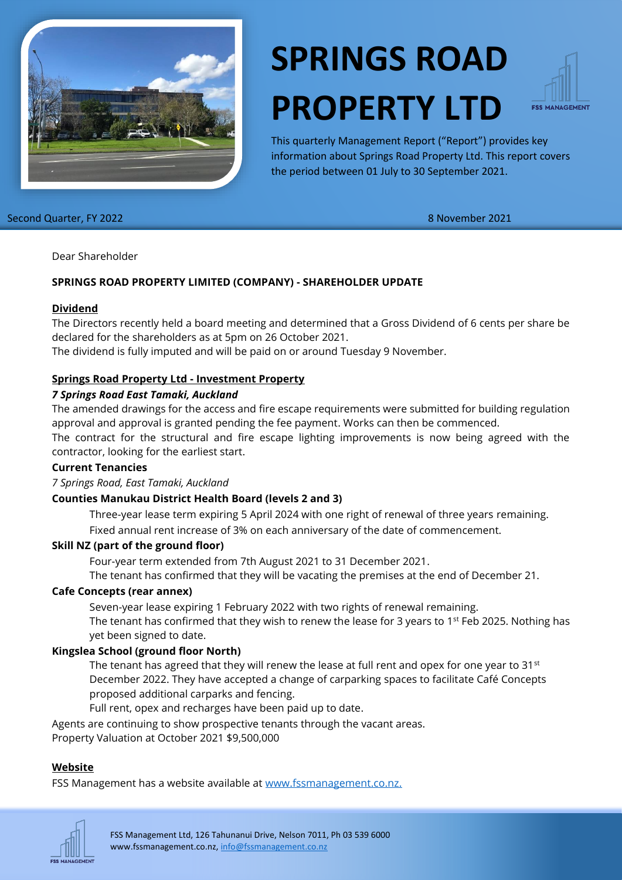

# **SPRINGS ROAD PROPERTY LTD**



This quarterly Management Report ("Report") provides key information about Springs Road Property Ltd. This report covers the period between 01 July to 30 September 2021.

Second Quarter, FY 2022 8 November 2021

Dear Shareholder

# **SPRINGS ROAD PROPERTY LIMITED (COMPANY) - SHAREHOLDER UPDATE**

#### **Dividend**

The Directors recently held a board meeting and determined that a Gross Dividend of 6 cents per share be declared for the shareholders as at 5pm on 26 October 2021.

The dividend is fully imputed and will be paid on or around Tuesday 9 November.

## **Springs Road Property Ltd - Investment Property**

#### *7 Springs Road East Tamaki, Auckland*

The amended drawings for the access and fire escape requirements were submitted for building regulation approval and approval is granted pending the fee payment. Works can then be commenced.

The contract for the structural and fire escape lighting improvements is now being agreed with the contractor, looking for the earliest start.

#### **Current Tenancies**

*7 Springs Road, East Tamaki, Auckland*

## **Counties Manukau District Health Board (levels 2 and 3)**

Three-year lease term expiring 5 April 2024 with one right of renewal of three years remaining. Fixed annual rent increase of 3% on each anniversary of the date of commencement.

#### **Skill NZ (part of the ground floor)**

Four-year term extended from 7th August 2021 to 31 December 2021.

The tenant has confirmed that they will be vacating the premises at the end of December 21.

# **Cafe Concepts (rear annex)**

Seven-year lease expiring 1 February 2022 with two rights of renewal remaining.

The tenant has confirmed that they wish to renew the lease for 3 years to 1<sup>st</sup> Feb 2025. Nothing has yet been signed to date.

## **Kingslea School (ground floor North)**

The tenant has agreed that they will renew the lease at full rent and opex for one year to 31st December 2022. They have accepted a change of carparking spaces to facilitate Café Concepts proposed additional carparks and fencing.

Full rent, opex and recharges have been paid up to date.

Agents are continuing to show prospective tenants through the vacant areas. Property Valuation at October 2021 \$9,500,000

## **Website**

FSS Management has a website available at [www.fssmanagement.co.nz.](http://www.fssmanagement.co.nz/)



FSS Management Ltd, 126 Tahunanui Drive, Nelson 7011, Ph 03 539 6000 www.fssmanagement.co.nz, [info@fssmanagement.co.nz](mailto:info@fssmanagement.co.nz)